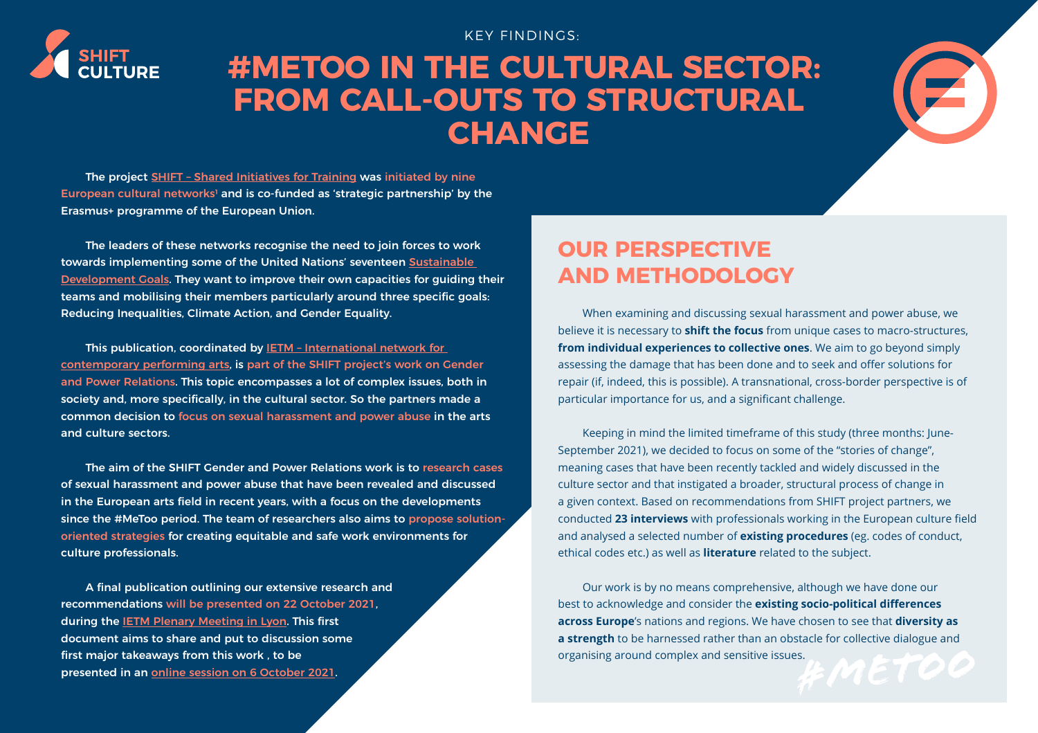

# **#METOO IN THE CULTURAL SECTOR: FROM CALL-OUTS TO STRUCTURAL CHANGE**

KEY FINDINGS:



The project [SHIFT – Shared Initiatives for Training](https://shift-culture.eu/) was initiated by nine European cultural networks<sup>1</sup> and is co-funded as 'strategic partnership' by the Erasmus+ programme of the European Union.

The leaders of these networks recognise the need to join forces to work towards implementing some of the United Nations' seventeen [Sustainable](https://sdgs.un.org/fr/goals)  [Development Goals](https://sdgs.un.org/fr/goals). They want to improve their own capacities for guiding their teams and mobilising their members particularly around three specific goals: Reducing Inequalities, Climate Action, and Gender Equality.

This publication, coordinated by **IETM** - International network for [contemporary performing arts,](http://www.ietm.org) is part of the SHIFT project's work on Gender and Power Relations. This topic encompasses a lot of complex issues, both in society and, more specifically, in the cultural sector. So the partners made a common decision to focus on sexual harassment and power abuse in the arts and culture sectors.

The aim of the SHIFT Gender and Power Relations work is to research cases of sexual harassment and power abuse that have been revealed and discussed in the European arts field in recent years, with a focus on the developments since the #MeToo period. The team of researchers also aims to propose solutionoriented strategies for creating equitable and safe work environments for culture professionals.

A final publication outlining our extensive research and recommendations will be presented on 22 October 2021, during the [IETM Plenary Meeting in Lyon.](http://www.ietm.org/lyon) This first document aims to share and put to discussion some first major takeaways from this work , to be presented in an <u>online session on 6 October 2021</u>.

## **OUR PERSPECTIVE AND METHODOLOGY**

When examining and discussing sexual harassment and power abuse, we believe it is necessary to **shift the focus** from unique cases to macro-structures, **from individual experiences to collective ones**. We aim to go beyond simply assessing the damage that has been done and to seek and offer solutions for repair (if, indeed, this is possible). A transnational, cross-border perspective is of particular importance for us, and a significant challenge.

Keeping in mind the limited timeframe of this study (three months: June-September 2021), we decided to focus on some of the "stories of change", meaning cases that have been recently tackled and widely discussed in the culture sector and that instigated a broader, structural process of change in a given context. Based on recommendations from SHIFT project partners, we conducted **23 interviews** with professionals working in the European culture field and analysed a selected number of **existing procedures** (eg. codes of conduct, ethical codes etc.) as well as **literature** related to the subject.

Our work is by no means comprehensive, although we have done our best to acknowledge and consider the **existing socio-political differences across Europe**'s nations and regions. We have chosen to see that **diversity as a strength** to be harnessed rather than an obstacle for collective dialogue and organising around complex and sensitive issues.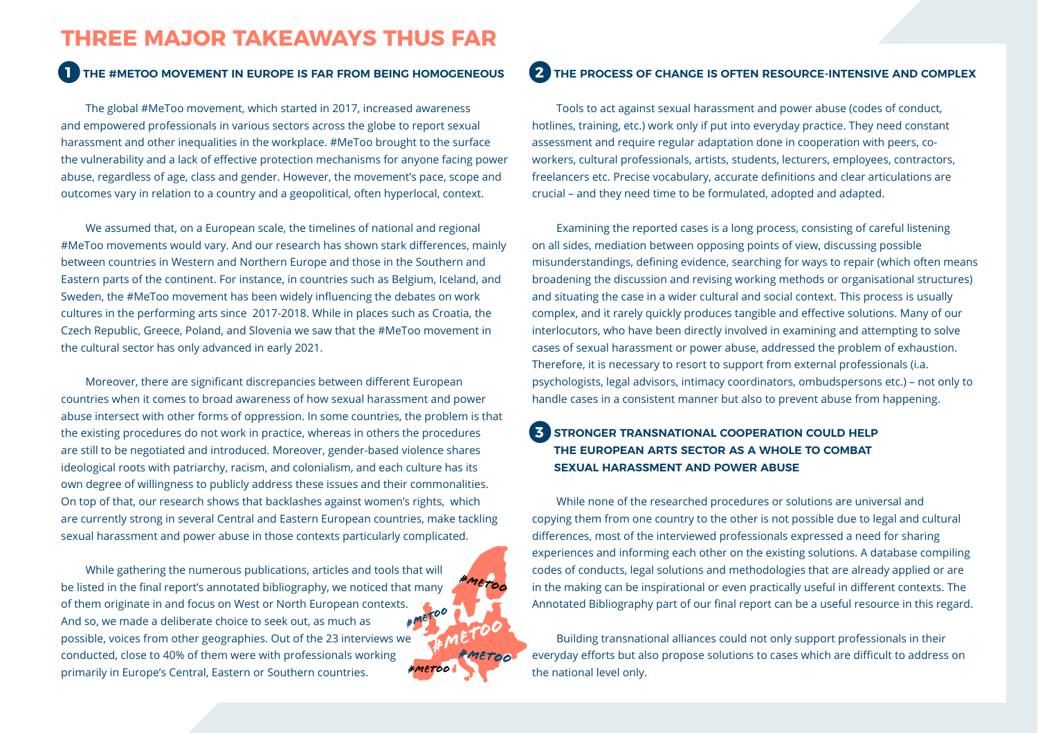### **THREE MAJOR TAKEAWAYS THUS FAR**

### **1 2 THE #METOO MOVEMENT IN EUROPE IS FAR FROM BEING HOMOGENEOUS**

The global #MeToo movement, which started in 2017, increased awareness and empowered professionals in various sectors across the globe to report sexual harassment and other inequalities in the workplace. #MeToo brought to the surface the vulnerability and a lack of effective protection mechanisms for anyone facing power abuse, regardless of age, class and gender. However, the movement's pace, scope and outcomes vary in relation to a country and a geopolitical, often hyperlocal, context.

We assumed that, on a European scale, the timelines of national and regional #MeToo movements would vary. And our research has shown stark differences, mainly between countries in Western and Northern Europe and those in the Southern and Eastern parts of the continent. For instance, in countries such as Belgium, Iceland, and Sweden, the #MeToo movement has been widely influencing the debates on work cultures in the performing arts since 2017-2018. While in places such as Croatia, the Czech Republic, Greece, Poland, and Slovenia we saw that the #MeToo movement in the cultural sector has only advanced in early 2021.

Moreover, there are significant discrepancies between different European countries when it comes to broad awareness of how sexual harassment and power abuse intersect with other forms of oppression. In some countries, the problem is that the existing procedures do not work in practice, whereas in others the procedures are still to be negotiated and introduced. Moreover, gender-based violence shares ideological roots with patriarchy, racism, and colonialism, and each culture has its own degree of willingness to publicly address these issues and their commonalities. On top of that, our research shows that backlashes against women's rights, which are currently strong in several Central and Eastern European countries, make tackling sexual harassment and power abuse in those contexts particularly complicated.

*#metoo #metoo #metoo #metoo #metoo* While gathering the numerous publications, articles and tools that will be listed in the final report's annotated bibliography, we noticed that many of them originate in and focus on West or North European contexts. And so, we made a deliberate choice to seek out, as much as possible, voices from other geographies. Out of the 23 interviews we conducted, close to 40% of them were with professionals working primarily in Europe's Central, Eastern or Southern countries.

### **THE PROCESS OF CHANGE IS OFTEN RESOURCE-INTENSIVE AND COMPLEX**

Tools to act against sexual harassment and power abuse (codes of conduct, hotlines, training, etc.) work only if put into everyday practice. They need constant assessment and require regular adaptation done in cooperation with peers, coworkers, cultural professionals, artists, students, lecturers, employees, contractors, freelancers etc. Precise vocabulary, accurate definitions and clear articulations are crucial – and they need time to be formulated, adopted and adapted.

Examining the reported cases is a long process, consisting of careful listening on all sides, mediation between opposing points of view, discussing possible misunderstandings, defining evidence, searching for ways to repair (which often means broadening the discussion and revising working methods or organisational structures) and situating the case in a wider cultural and social context. This process is usually complex, and it rarely quickly produces tangible and effective solutions. Many of our interlocutors, who have been directly involved in examining and attempting to solve cases of sexual harassment or power abuse, addressed the problem of exhaustion. Therefore, it is necessary to resort to support from external professionals (i.a. psychologists, legal advisors, intimacy coordinators, ombudspersons etc.) – not only to handle cases in a consistent manner but also to prevent abuse from happening.

#### **STRONGER TRANSNATIONAL COOPERATION COULD HELP THE EUROPEAN ARTS SECTOR AS A WHOLE TO COMBAT SEXUAL HARASSMENT AND POWER ABUSE 3**

While none of the researched procedures or solutions are universal and copying them from one country to the other is not possible due to legal and cultural differences, most of the interviewed professionals expressed a need for sharing experiences and informing each other on the existing solutions. A database compiling codes of conducts, legal solutions and methodologies that are already applied or are in the making can be inspirational or even practically useful in different contexts. The Annotated Bibliography part of our final report can be a useful resource in this regard.

Building transnational alliances could not only support professionals in their everyday efforts but also propose solutions to cases which are difficult to address on the national level only.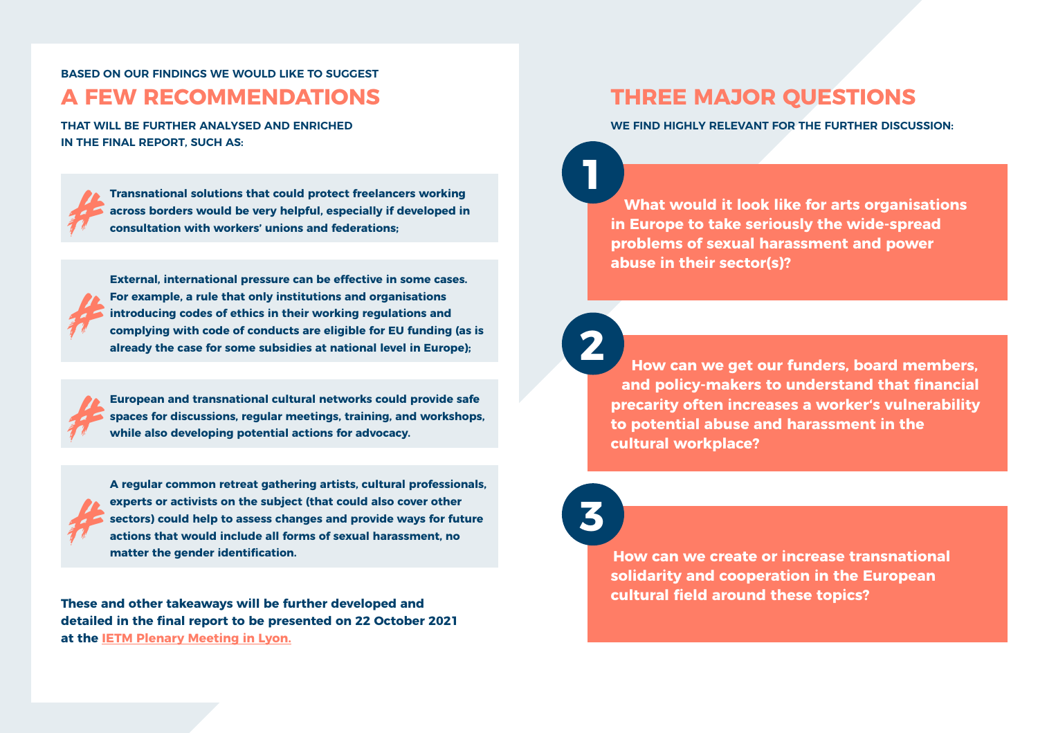**BASED ON OUR FINDINGS WE WOULD LIKE TO SUGGEST A FEW RECOMMENDATIONS**

**THAT WILL BE FURTHER ANALYSED AND ENRICHED IN THE FINAL REPORT, SUCH AS:**

**Transnational solutions that could protect freelancers working across borders would be very helpful, especially if developed in consultation with workers' unions and federations;** *#*

**External, international pressure can be effective in some cases. For example, a rule that only institutions and organisations introducing codes of ethics in their working regulations and complying with code of conducts are eligible for EU funding (as is already the case for some subsidies at national level in Europe);** *#*



**European and transnational cultural networks could provide safe spaces for discussions, regular meetings, training, and workshops, while also developing potential actions for advocacy.**



**A regular common retreat gathering artists, cultural professionals, experts or activists on the subject (that could also cover other sectors) could help to assess changes and provide ways for future actions that would include all forms of sexual harassment, no matter the gender identification.** 

**These and other takeaways will be further developed and detailed in the final report to be presented on 22 October 2021 at the [IETM Plenary Meeting in Lyon.](http://www.ietm.org/lyon)**

### **THREE MAJOR QUESTIONS**

**WE FIND HIGHLY RELEVANT FOR THE FURTHER DISCUSSION:**

**What would it look like for arts organisations in Europe to take seriously the wide-spread problems of sexual harassment and power abuse in their sector(s)?**



**1**

**How can we get our funders, board members, and policy-makers to understand that financial precarity often increases a worker's vulnerability to potential abuse and harassment in the cultural workplace?**



**How can we create or increase transnational solidarity and cooperation in the European cultural field around these topics?**